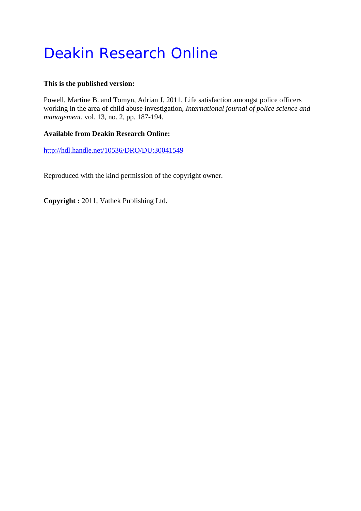# Deakin Research Online

# **This is the published version:**

Powell, Martine B. and Tomyn, Adrian J. 2011, Life satisfaction amongst police officers working in the area of child abuse investigation*, International journal of police science and management*, vol. 13, no. 2, pp. 187-194.

# **Available from Deakin Research Online:**

http://hdl.handle.net/10536/DRO/DU:30041549

Reproduced with the kind permission of the copyright owner.

**Copyright :** 2011, Vathek Publishing Ltd.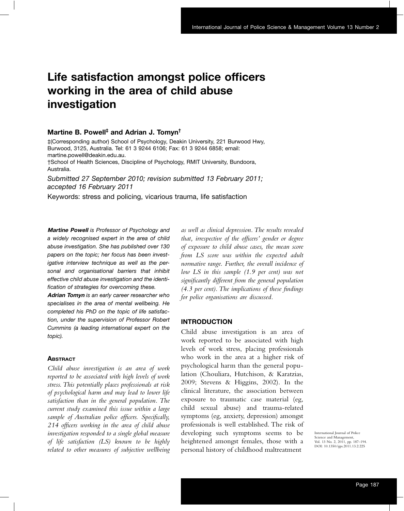# **Life satisfaction amongst police officers working in the area of child abuse investigation**

# **Martine B. Powell‡ and Adrian J. Tomyn†**

‡(Corresponding author) School of Psychology, Deakin University, 221 Burwood Hwy, Burwood, 3125, Australia. Tel: 61 3 9244 6106; Fax: 61 3 9244 6858; email: martine.powell@deakin.edu.au.

†School of Health Sciences, Discipline of Psychology, RMIT University, Bundoora, Australia.

*Submitted 27 September 2010; revision submitted 13 February 2011; accepted 16 February 2011*

Keywords: stress and policing, vicarious trauma, life satisfaction

**Martine Powell** *is Professor of Psychology and a widely recognised expert in the area of child abuse investigation. She has published over 130 papers on the topic; her focus has been investigative interview technique as well as the personal and organisational barriers that inhibit effective child abuse investigation and the identification of strategies for overcoming these.*

**Adrian Tomyn** *is an early career researcher who specialises in the area of mental wellbeing. He completed his PhD on the topic of life satisfaction, under the supervision of Professor Robert Cummins (a leading international expert on the topic).*

## **ABSTRACT**

*Child abuse investigation is an area of work reported to be associated with high levels of work stress. This potentially places professionals at risk of psychological harm and may lead to lower life satisfaction than in the general population. The current study examined this issue within a large sample of Australian police officers. Specifically, 214 officers working in the area of child abuse investigation responded to a single global measure of life satisfaction (LS) known to be highly related to other measures of subjective wellbeing*

*as well as clinical depression. The results revealed that, irrespective of the officers' gender or degree of exposure to child abuse cases, the mean score from LS score was within the expected adult normative range. Further, the overall incidence of low LS in this sample (1.9 per cent) was not significantly different from the general population (4.3 per cent). The implications of these findings for police organisations are discussed.*

#### **INTRODUCTION**

Child abuse investigation is an area of work reported to be associated with high levels of work stress, placing professionals who work in the area at a higher risk of psychological harm than the general population (Chouliara, Hutchison, & Karatzias, 2009; Stevens & Higgins, 2002). In the clinical literature, the association between exposure to traumatic case material (eg, child sexual abuse) and trauma-related symptoms (eg, anxiety, depression) amongst professionals is well established. The risk of developing such symptoms seems to be heightened amongst females, those with a personal history of childhood maltreatment

International Journal of Police Science and Management, Vol. 13 No. 2, 2011, pp. 187–194. DOI: 10.1350/ijps.2011.13.2.225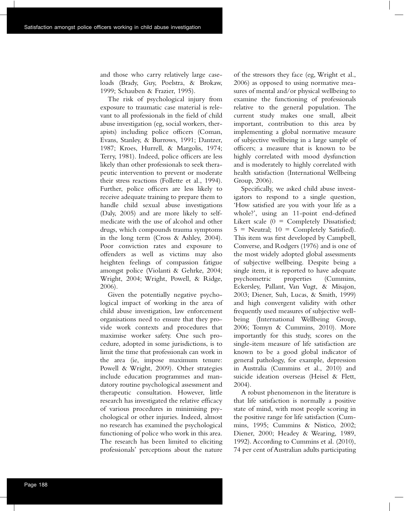and those who carry relatively large caseloads (Brady, Guy, Poelstra, & Brokaw, 1999; Schauben & Frazier, 1995).

The risk of psychological injury from exposure to traumatic case material is relevant to all professionals in the field of child abuse investigation (eg, social workers, therapists) including police officers (Coman, Evans, Stanley, & Burrows, 1991; Dantzer, 1987; Kroes, Hurrell, & Margolis, 1974; Terry, 1981). Indeed, police officers are less likely than other professionals to seek therapeutic intervention to prevent or moderate their stress reactions (Follette et al., 1994). Further, police officers are less likely to receive adequate training to prepare them to handle child sexual abuse investigations (Daly, 2005) and are more likely to selfmedicate with the use of alcohol and other drugs, which compounds trauma symptoms in the long term (Cross & Ashley, 2004). Poor conviction rates and exposure to offenders as well as victims may also heighten feelings of compassion fatigue amongst police (Violanti & Gehrke, 2004; Wright, 2004; Wright, Powell, & Ridge, 2006).

Given the potentially negative psychological impact of working in the area of child abuse investigation, law enforcement organisations need to ensure that they provide work contexts and procedures that maximise worker safety. One such procedure, adopted in some jurisdictions, is to limit the time that professionals can work in the area (ie, impose maximum tenure: Powell & Wright, 2009). Other strategies include education programmes and mandatory routine psychological assessment and therapeutic consultation. However, little research has investigated the relative efficacy of various procedures in minimising psychological or other injuries. Indeed, almost no research has examined the psychological functioning of police who work in this area. The research has been limited to eliciting professionals' perceptions about the nature

of the stressors they face (eg, Wright et al., 2006) as opposed to using normative measures of mental and/or physical wellbeing to examine the functioning of professionals relative to the general population. The current study makes one small, albeit important, contribution to this area by implementing a global normative measure of subjective wellbeing in a large sample of officers; a measure that is known to be highly correlated with mood dysfunction and is moderately to highly correlated with health satisfaction (International Wellbeing Group, 2006).

Specifically, we asked child abuse investigators to respond to a single question, 'How satisfied are you with your life as a whole?', using an 11-point end-defined Likert scale  $(0 =$  Completely Dissatisfied;  $5 =$  Neutral;  $10 =$  Completely Satisfied). This item was first developed by Campbell, Converse, and Rodgers (1976) and is one of the most widely adopted global assessments of subjective wellbeing. Despite being a single item, it is reported to have adequate psychometric properties (Cummins, Eckersley, Pallant, Van Vugt, & Misajon, 2003; Diener, Suh, Lucas, & Smith, 1999) and high convergent validity with other frequently used measures of subjective wellbeing (International Wellbeing Group, 2006; Tomyn & Cummins, 2010). More importantly for this study, scores on the single-item measure of life satisfaction are known to be a good global indicator of general pathology, for example, depression in Australia (Cummins et al., 2010) and suicide ideation overseas (Heisel & Flett, 2004).

A robust phenomenon in the literature is that life satisfaction is normally a positive state of mind, with most people scoring in the positive range for life satisfaction (Cummins, 1995; Cummins & Nistico, 2002; Diener, 2000; Headey & Wearing, 1989, 1992). According to Cummins et al. (2010), 74 per cent of Australian adults participating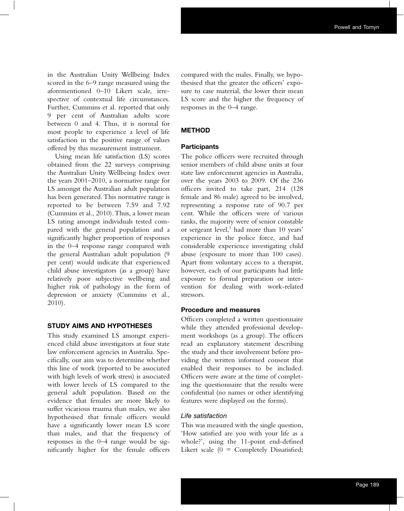in the Australian Unity Wellbeing Index scored in the 6–9 range measured using the aforementioned 0–10 Likert scale, irrespective of contextual life circumstances. Further, Cummins et al. reported that only 9 per cent of Australian adults score between 0 and 4. Thus, it is normal for most people to experience a level of life satisfaction in the positive range of values offered by this measurement instrument.

Using mean life satisfaction (LS) scores obtained from the 22 surveys comprising the Australian Unity Wellbeing Index over the years 2001–2010, a normative range for LS amongst the Australian adult population has been generated. This normative range is reported to be between 7.59 and 7.92 (Cummins et al., 2010). Thus, a lower mean LS rating amongst individuals tested compared with the general population and a significantly higher proportion of responses in the 0–4 response range compared with the general Australian adult population (9 per cent) would indicate that experienced child abuse investigators (as a group) have relatively poor subjective wellbeing and higher risk of pathology in the form of depression or anxiety (Cummins et al., 2010).

# **STUDY AIMS AND HYPOTHESES**

This study examined LS amongst experienced child abuse investigators at four state law enforcement agencies in Australia. Specifically, our aim was to determine whether this line of work (reported to be associated with high levels of work stress) is associated with lower levels of LS compared to the general adult population. Based on the evidence that females are more likely to suffer vicarious trauma than males, we also hypothesised that female officers would have a significantly lower mean LS score than males, and that the frequency of responses in the 0–4 range would be significantly higher for the female officers

compared with the males. Finally, we hypothesised that the greater the officers' exposure to case material, the lower their mean LS score and the higher the frequency of responses in the 0–4 range.

# **METHOD**

# **Participants**

The police officers were recruited through senior members of child abuse units at four state law enforcement agencies in Australia, over the years 2003 to 2009. Of the 236 officers invited to take part, 214 (128 female and 86 male) agreed to be involved, representing a response rate of 90.7 per cent. While the officers were of various ranks, the majority were of senior constable or sergeant level, $1$  had more than 10 years' experience in the police force, and had considerable experience investigating child abuse (exposure to more than 100 cases). Apart from voluntary access to a therapist, however, each of our participants had little exposure to formal preparation or intervention for dealing with work-related stressors.

#### **Procedure and measures**

Officers completed a written questionnaire while they attended professional development workshops (as a group). The officers read an explanatory statement describing the study and their involvement before providing the written informed consent that enabled their responses to be included. Officers were aware at the time of completing the questionnaire that the results were confidential (no names or other identifying features were displayed on the forms).

# *Life satisfaction*

This was measured with the single question, 'How satisfied are you with your life as a whole?', using the 11-point end-defined Likert scale  $(0 =$  Completely Dissatisfied;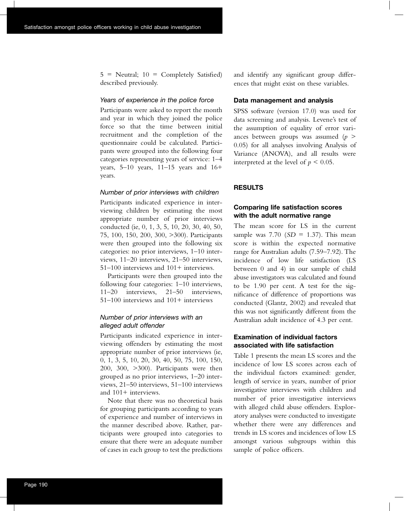$5$  = Neutral;  $10$  = Completely Satisfied) described previously.

## *Years of experience in the police force*

Participants were asked to report the month and year in which they joined the police force so that the time between initial recruitment and the completion of the questionnaire could be calculated. Participants were grouped into the following four categories representing years of service: 1–4 years, 5–10 years, 11–15 years and 16+ years.

#### *Number of prior interviews with children*

Participants indicated experience in interviewing children by estimating the most appropriate number of prior interviews conducted (ie, 0, 1, 3, 5, 10, 20, 30, 40, 50, 75, 100, 150, 200, 300, >300). Participants were then grouped into the following six categories: no prior interviews, 1–10 interviews, 11–20 interviews, 21–50 interviews, 51–100 interviews and 101+ interviews.

Participants were then grouped into the following four categories: 1–10 interviews, 11–20 interviews, 21–50 interviews, 51–100 interviews and 101+ interviews

# *Number of prior interviews with an alleged adult offender*

Participants indicated experience in interviewing offenders by estimating the most appropriate number of prior interviews (ie, 0, 1, 3, 5, 10, 20, 30, 40, 50, 75, 100, 150, 200, 300, >300). Participants were then grouped as no prior interviews, 1–20 interviews, 21–50 interviews, 51–100 interviews and 101+ interviews.

Note that there was no theoretical basis for grouping participants according to years of experience and number of interviews in the manner described above. Rather, participants were grouped into categories to ensure that there were an adequate number of cases in each group to test the predictions and identify any significant group differences that might exist on these variables.

#### **Data management and analysis**

SPSS software (version 17.0) was used for data screening and analysis. Levene's test of the assumption of equality of error variances between groups was assumed (*p* > 0.05) for all analyses involving Analysis of Variance (ANOVA), and all results were interpreted at the level of  $p < 0.05$ .

# **RESULTS**

# **Comparing life satisfaction scores with the adult normative range**

The mean score for LS in the current sample was  $7.70$  (*SD* = 1.37). This mean score is within the expected normative range for Australian adults (7.59–7.92). The incidence of low life satisfaction (LS between 0 and 4) in our sample of child abuse investigators was calculated and found to be 1.90 per cent. A test for the significance of difference of proportions was conducted (Glantz, 2002) and revealed that this was not significantly different from the Australian adult incidence of 4.3 per cent.

# **Examination of individual factors associated with life satisfaction**

Table 1 presents the mean LS scores and the incidence of low LS scores across each of the individual factors examined: gender, length of service in years, number of prior investigative interviews with children and number of prior investigative interviews with alleged child abuse offenders. Exploratory analyses were conducted to investigate whether there were any differences and trends in LS scores and incidences of low LS amongst various subgroups within this sample of police officers.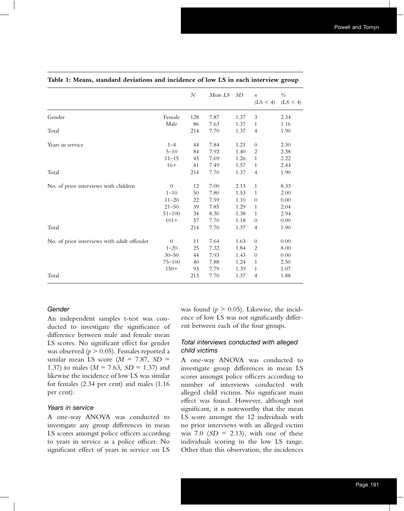|                                             |            | $\boldsymbol{N}$ | Mean LS | SD   | $\it n$<br>(LS < 4) | $\%$<br>(LS < 4) |
|---------------------------------------------|------------|------------------|---------|------|---------------------|------------------|
| Gender                                      | Female     | 128              | 7.87    | 1.37 | $\mathfrak{Z}$      | 2.34             |
|                                             | Male       | 86               | 7.63    | 1.37 | $\mathbf{1}$        | 1.16             |
| Total                                       |            | 214              | 7.70    | 1.37 | $\overline{4}$      | 1.90             |
| Years in service                            | $1 - 4$    | 44               | 7.84    | 1.21 | $\theta$            | 2.30             |
|                                             | $5 - 10$   | 84               | 7.92    | 1.40 | $\overline{c}$      | 2.38             |
|                                             | $11 - 15$  | 45               | 7.69    | 1.26 | 1                   | 2.22             |
|                                             | $16+$      | 41               | 7.49    | 1.57 | 1                   | 2.44             |
| Total                                       |            | 214              | 7.70    | 1.37 | $\overline{4}$      | 1.90             |
| No. of prior interviews with children       | $\theta$   | 12               | 7.00    | 2.13 | $\mathbf{1}$        | 8.33             |
|                                             | $1 - 10$   | 50               | 7.80    | 1.53 | 1                   | 2.00             |
|                                             | $11 - 20$  | 22               | 7.59    | 1.10 | $\theta$            | 0.00             |
|                                             | $21 - 50$  | 39               | 7.85    | 1.29 | 1                   | 2.04             |
|                                             | $51 - 100$ | 34               | 8.30    | 1.38 | $\mathbf{1}$        | 2.94             |
|                                             | $101+$     | 57               | 7.70    | 1.18 | $\theta$            | 0.00             |
| Total                                       |            | 214              | 7.70    | 1.37 | $\overline{4}$      | 1.90             |
| No. of prior interviews with adult offender | $\theta$   | 11               | 7.64    | 1.63 | $\overline{0}$      | 0.00             |
|                                             | $1 - 20$   | 25               | 7.32    | 1.84 | 2                   | 8.00             |
|                                             | $30 - 50$  | 44               | 7.93    | 1.43 | $\theta$            | 0.00             |
|                                             | $75 - 100$ | 40               | 7.88    | 1.24 | 1                   | 2.50             |
|                                             | $150+$     | 93               | 7.79    | 1.39 | 1                   | 1.07             |
| Total                                       |            | 213              | 7.70    | 1.37 | $\overline{4}$      | 1.88             |

# **Table 1: Means, standard deviations and incidence of low LS in each interview group**

#### *Gender*

An independent samples t-test was conducted to investigate the significance of difference between male and female mean LS scores. No significant effect for gender was observed  $(p > 0.05)$ . Females reported a similar mean LS score  $(M = 7.87, SD =$ 1.37) to males (*M* = 7.63, *SD* = 1.37) and likewise the incidence of low LS was similar for females (2.34 per cent) and males (1.16 per cent).

## *Years in service*

A one-way ANOVA was conducted to investigate any group differences in mean LS scores amongst police officers according to years in service as a police officer. No significant effect of years in service on LS was found  $(p > 0.05)$ . Likewise, the incidence of low LS was not significantly different between each of the four groups.

# *Total interviews conducted with alleged child victims*

A one-way ANOVA was conducted to investigate group differences in mean LS scores amongst police officers according to number of interviews conducted with alleged child victims. No significant main effect was found. However, although not significant, it is noteworthy that the mean LS score amongst the 12 individuals with no prior interviews with an alleged victim was 7.0  $(SD = 2.13)$ , with one of these individuals scoring in the low LS range. Other than this observation, the incidences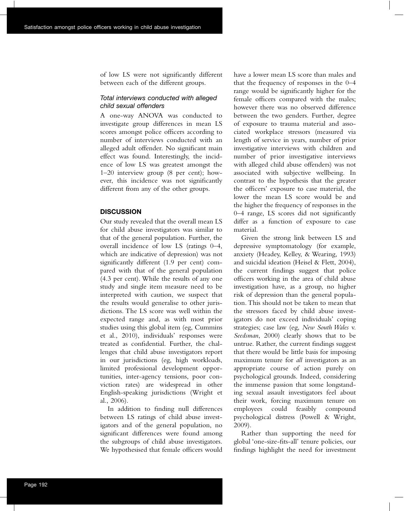of low LS were not significantly different between each of the different groups.

# *Total interviews conducted with alleged child sexual offenders*

A one-way ANOVA was conducted to investigate group differences in mean LS scores amongst police officers according to number of interviews conducted with an alleged adult offender. No significant main effect was found. Interestingly, the incidence of low LS was greatest amongst the 1–20 interview group (8 per cent); however, this incidence was not significantly different from any of the other groups.

# **DISCUSSION**

Our study revealed that the overall mean LS for child abuse investigators was similar to that of the general population. Further, the overall incidence of low LS (ratings 0–4, which are indicative of depression) was not significantly different (1.9 per cent) compared with that of the general population (4.3 per cent). While the results of any one study and single item measure need to be interpreted with caution, we suspect that the results would generalise to other jurisdictions. The LS score was well within the expected range and, as with most prior studies using this global item (eg, Cummins et al., 2010), individuals' responses were treated as confidential. Further, the challenges that child abuse investigators report in our jurisdictions (eg, high workloads, limited professional development opportunities, inter-agency tensions, poor conviction rates) are widespread in other English-speaking jurisdictions (Wright et al., 2006).

In addition to finding null differences between LS ratings of child abuse investigators and of the general population, no significant differences were found among the subgroups of child abuse investigators. We hypothesised that female officers would

have a lower mean LS score than males and that the frequency of responses in the 0–4 range would be significantly higher for the female officers compared with the males; however there was no observed difference between the two genders. Further, degree of exposure to trauma material and associated workplace stressors (measured via length of service in years, number of prior investigative interviews with children and number of prior investigative interviews with alleged child abuse offenders) was not associated with subjective wellbeing. In contrast to the hypothesis that the greater the officers' exposure to case material, the lower the mean LS score would be and the higher the frequency of responses in the 0–4 range, LS scores did not significantly differ as a function of exposure to case material.

Given the strong link between LS and depressive symptomatology (for example, anxiety (Headey, Kelley, & Wearing, 1993) and suicidal ideation (Heisel & Flett, 2004), the current findings suggest that police officers working in the area of child abuse investigation have, as a group, no higher risk of depression than the general population. This should not be taken to mean that the stressors faced by child abuse investigators do not exceed individuals' coping strategies; case law (eg, *New South Wales* v. *Seedsman*, 2000) clearly shows that to be untrue. Rather, the current findings suggest that there would be little basis for imposing maximum tenure for *all* investigators as an appropriate course of action purely on psychological grounds. Indeed, considering the immense passion that some longstanding sexual assault investigators feel about their work, forcing maximum tenure on employees could feasibly compound psychological distress (Powell & Wright, 2009).

Rather than supporting the need for global 'one-size-fits-all' tenure policies, our findings highlight the need for investment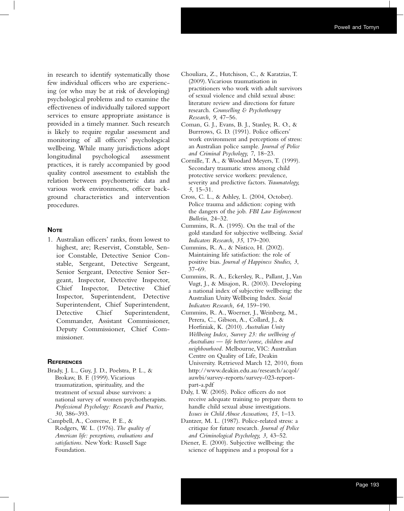in research to identify systematically those few individual officers who are experiencing (or who may be at risk of developing) psychological problems and to examine the effectiveness of individually tailored support services to ensure appropriate assistance is provided in a timely manner. Such research is likely to require regular assessment and monitoring of all officers' psychological wellbeing. While many jurisdictions adopt longitudinal psychological assessment practices, it is rarely accompanied by good quality control assessment to establish the relation between psychometric data and various work environments, officer background characteristics and intervention procedures.

# **NOTE**

1. Australian officers' ranks, from lowest to highest, are; Reservist, Constable, Senior Constable, Detective Senior Constable, Sergeant, Detective Sergeant, Senior Sergeant, Detective Senior Sergeant, Inspector, Detective Inspector, Chief Inspector, Detective Chief Inspector, Superintendent, Detective Superintendent, Chief Superintendent, Detective Chief Superintendent, Commander, Assistant Commissioner, Deputy Commissioner, Chief Commissioner.

#### **REFERENCES**

- Brady, J. L., Guy, J. D., Poelstra, P. L., & Brokaw, B. F. (1999). Vicarious traumatization, spirituality, and the treatment of sexual abuse survivors: a national survey of women psychotherapists. *Professional Psychology: Research and Practice, 30*, 386–393.
- Campbell, A., Converse, P. E., & Rodgers, W. L. (1976). *The quality of American life: perceptions, evaluations and satisfactions*. New York: Russell Sage Foundation.
- Chouliara, Z., Hutchison, C., & Karatzias, T. (2009). Vicarious traumatisation in practitioners who work with adult survivors of sexual violence and child sexual abuse: literature review and directions for future research. *Counselling & Psychotherapy Research, 9*, 47–56.
- Coman, G. J., Evans, B. J., Stanley, R. O., & Burrrows, G. D. (1991). Police officers' work environment and perceptions of stress: an Australian police sample. *Journal of Police and Criminal Psychology, 7*, 18–23.
- Cornille, T. A., & Woodard Meyers, T. (1999). Secondary traumatic stress among child protective service workers: prevalence, severity and predictive factors. *Traumatology, 5*, 15–31.
- Cross, C. L., & Ashley, L. (2004, October). Police trauma and addiction: coping with the dangers of the job. *FBI Law Enforcement Bulletin*, 24–32.
- Cummins, R. A. (1995). On the trail of the gold standard for subjective wellbeing. *Social Indicators Research, 35*, 179–200.
- Cummins, R. A., & Nistico, H. (2002). Maintaining life satisfaction: the role of positive bias. *Journal of Happiness Studies, 3*, 37–69.
- Cummins, R. A., Eckersley, R., Pallant, J., Van Vugt, J., & Misajon, R. (2003). Developing a national index of subjective wellbeing: the Australian Unity Wellbeing Index. *Social Indicators Research, 64*, 159–190.
- Cummins, R. A., Woerner, J., Weinberg, M., Perera, C., Gibson, A., Collard, J., & Horfiniak, K. (2010). *Australian Unity Wellbeing Index, Survey 23: the wellbeing of Australians — life better/worse, children and neighbourhood.* Melbourne, VIC: Australian Centre on Quality of Life, Deakin University. Retrieved March 12, 2010, from http://www.deakin.edu.au/research/acqol/ auwbi/survey-reports/survey-023-reportpart-a.pdf
- Daly, I. W. (2005). Police officers do not receive adequate training to prepare them to handle child sexual abuse investigations. *Issues in Child Abuse Accusations, 15*, 1–13.
- Dantzer, M. L. (1987). Police-related stress: a critique for future research. *Journal of Police and Criminological Psychology, 3,* 43–52.
- Diener, E. (2000). Subjective wellbeing: the science of happiness and a proposal for a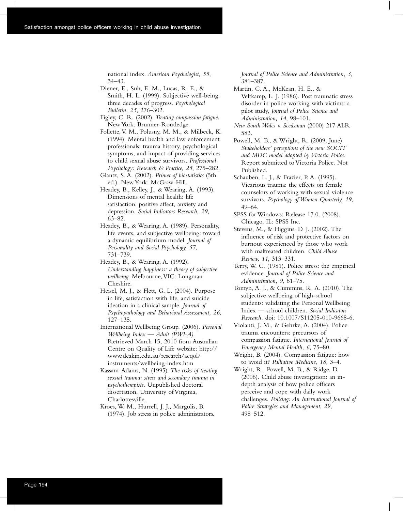national index. *American Psychologist, 55*, 34–43.

- Diener, E., Suh, E. M., Lucas, R. E., & Smith, H. L. (1999). Subjective well-being: three decades of progress. *Psychological Bulletin, 25*, 276–302.
- Figley, C. R. (2002). *Treating compassion fatigue.* New York: Brunner-Routledge.
- Follette, V. M., Polusny, M. M., & Milbeck, K. (1994). Mental health and law enforcement professionals: trauma history, psychological symptoms, and impact of providing services to child sexual abuse survivors. *Professional Psychology: Research & Practice, 25*, 275–282.
- Glantz, S. A. (2002). *Primer of biostatistics* (5th ed.). New York: McGraw-Hill.
- Headey, B., Kelley, J., & Wearing, A. (1993). Dimensions of mental health: life satisfaction, positive affect, anxiety and depression. *Social Indicators Research, 29*, 63–82.
- Headey, B., & Wearing, A. (1989). Personality, life events, and subjective wellbeing: toward a dynamic equilibrium model. *Journal of Personality and Social Psychology, 57*, 731–739.
- Headey, B., & Wearing, A. (1992). *Understanding happiness: a theory of subjective wellbeing.* Melbourne, VIC: Longman Cheshire.
- Heisel, M. J., & Flett, G. L. (2004). Purpose in life, satisfaction with life, and suicide ideation in a clinical sample. *Journal of Psychopathology and Behavioral Assessment, 26*, 127–135.
- International Wellbeing Group. (2006). *Personal Wellbeing Index — Adult (PWI-A)*. Retrieved March 15, 2010 from Australian Centre on Quality of Life website: http:// www.deakin.edu.au/research/acqol/ instruments/wellbeing-index.htm
- Kassam-Adams, N. (1995). *The risks of treating sexual trauma: stress and secondary trauma in psychotherapists*. Unpublished doctoral dissertation, University of Virginia, Charlottesville.
- Kroes, W. M., Hurrell, J. J., Margolis, B. (1974). Job stress in police administrators*.*

*Journal of Police Science and Administration, 3*, 381–387.

- Martin, C. A., McKean, H. E., & Veltkamp, L. J. (1986). Post traumatic stress disorder in police working with victims: a pilot study, *Journal of Police Science and Administration, 14*, 98–101.
- *New South Wales* v *Seedsman* (2000) 217 ALR 583.
- Powell, M. B., & Wright, R. (2009, June). *Stakeholders' perceptions of the new SOCIT and MDC model adopted by Victoria Police*. Report submitted to Victoria Police. Not Published.
- Schauben, L. J., & Frazier, P. A. (1995). Vicarious trauma: the effects on female counselors of working with sexual violence survivors. *Psychology of Women Quarterly, 19*, 49–64.
- SPSS for Windows: Release 17.0. (2008). Chicago, IL: SPSS Inc.
- Stevens, M., & Higgins, D. J. (2002). The influence of risk and protective factors on burnout experienced by those who work with maltreated children. *Child Abuse Review, 11*, 313–331.
- Terry, W. C. (1981). Police stress: the empirical evidence. *Journal of Police Science and Administration, 9*, 61–75.
- Tomyn, A. J., & Cummins, R. A. (2010). The subjective wellbeing of high-school students: validating the Personal Wellbeing Index — school children. *Social Indicators Research.* doi: 10.1007/S11205-010-9668-6.

Violanti, J. M., & Gehrke, A. (2004). Police trauma encounters: precursors of compassion fatigue. *International Journal of Emergency Mental Health, 6*, 75–80.

- Wright, B. (2004). Compassion fatigue: how to avoid it? *Palliative Medicine, 18,* 3–4.
- Wright, R., Powell, M. B., & Ridge, D. (2006). Child abuse investigation: an indepth analysis of how police officers perceive and cope with daily work challenges. *Policing: An International Journal of Police Strategies and Management*, *29*, 498–512.